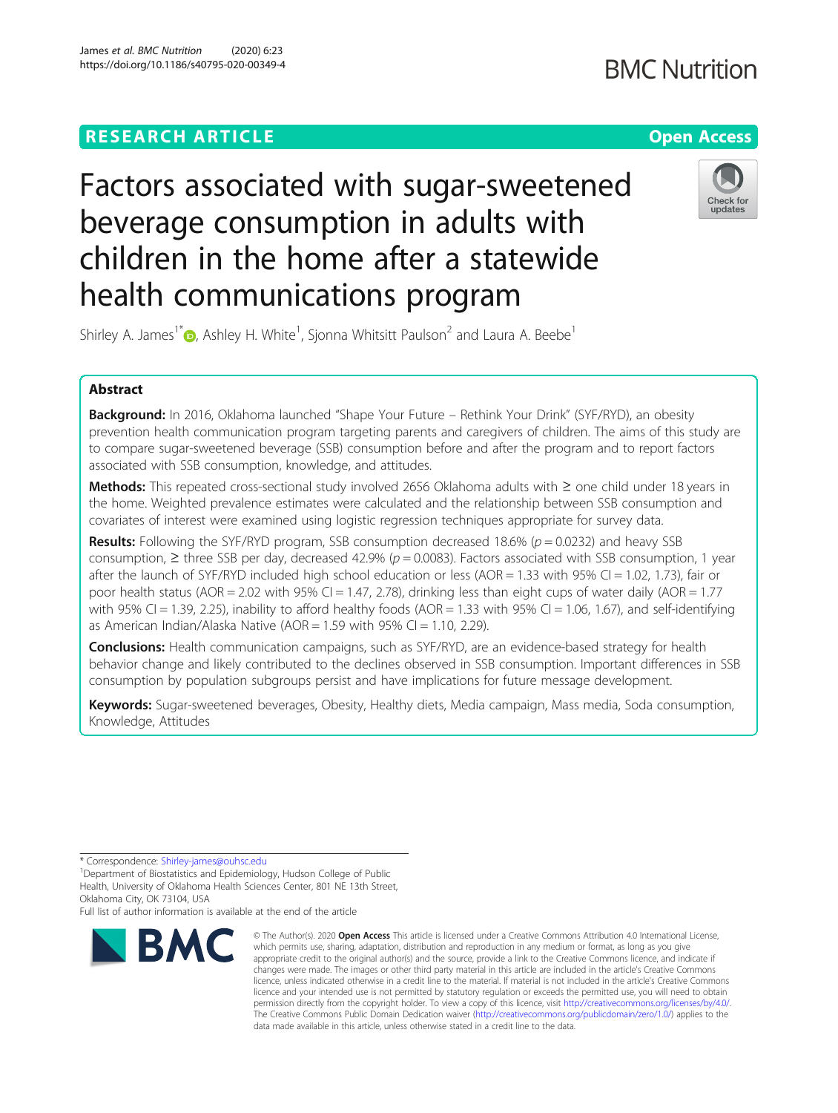### **RESEARCH ARTICLE Example 2014 12:30 The Contract of Contract ACCESS**

## **BMC Nutrition**

# Factors associated with sugar-sweetened beverage consumption in adults with children in the home after a statewide health communications program



Shirley A. James<sup>1[\\*](http://orcid.org/0000-0002-1808-4957)</sup> $\textsf{\textcircled{\textsf{}}\ }$ , Ashley H. White<sup>1</sup>, Sjonna Whitsitt Paulson<sup>2</sup> and Laura A. Beebe<sup>1</sup>

### Abstract

Background: In 2016, Oklahoma launched "Shape Your Future – Rethink Your Drink" (SYF/RYD), an obesity prevention health communication program targeting parents and caregivers of children. The aims of this study are to compare sugar-sweetened beverage (SSB) consumption before and after the program and to report factors associated with SSB consumption, knowledge, and attitudes.

Methods: This repeated cross-sectional study involved 2656 Oklahoma adults with ≥ one child under 18 years in the home. Weighted prevalence estimates were calculated and the relationship between SSB consumption and covariates of interest were examined using logistic regression techniques appropriate for survey data.

**Results:** Following the SYF/RYD program, SSB consumption decreased 18.6% ( $p = 0.0232$ ) and heavy SSB consumption,  $\geq$  three SSB per day, decreased 42.9% ( $p = 0.0083$ ). Factors associated with SSB consumption, 1 year after the launch of SYF/RYD included high school education or less (AOR = 1.33 with 95% CI = 1.02, 1.73), fair or poor health status ( $AOR = 2.02$  with 95% CI = 1.47, 2.78), drinking less than eight cups of water daily ( $AOR = 1.77$ with 95% CI = 1.39, 2.25), inability to afford healthy foods (AOR = 1.33 with 95% CI = 1.06, 1.67), and self-identifying as American Indian/Alaska Native (AOR = 1.59 with 95% CI = 1.10, 2.29).

**Conclusions:** Health communication campaigns, such as SYF/RYD, are an evidence-based strategy for health behavior change and likely contributed to the declines observed in SSB consumption. Important differences in SSB consumption by population subgroups persist and have implications for future message development.

Keywords: Sugar-sweetened beverages, Obesity, Healthy diets, Media campaign, Mass media, Soda consumption, Knowledge, Attitudes

Full list of author information is available at the end of the article



<sup>©</sup> The Author(s), 2020 **Open Access** This article is licensed under a Creative Commons Attribution 4.0 International License, which permits use, sharing, adaptation, distribution and reproduction in any medium or format, as long as you give appropriate credit to the original author(s) and the source, provide a link to the Creative Commons licence, and indicate if changes were made. The images or other third party material in this article are included in the article's Creative Commons licence, unless indicated otherwise in a credit line to the material. If material is not included in the article's Creative Commons licence and your intended use is not permitted by statutory regulation or exceeds the permitted use, you will need to obtain permission directly from the copyright holder. To view a copy of this licence, visit [http://creativecommons.org/licenses/by/4.0/.](http://creativecommons.org/licenses/by/4.0/) The Creative Commons Public Domain Dedication waiver [\(http://creativecommons.org/publicdomain/zero/1.0/](http://creativecommons.org/publicdomain/zero/1.0/)) applies to the data made available in this article, unless otherwise stated in a credit line to the data.

<sup>\*</sup> Correspondence: [Shirley-james@ouhsc.edu](mailto:Shirley-james@ouhsc.edu) <sup>1</sup>

<sup>&</sup>lt;sup>1</sup>Department of Biostatistics and Epidemiology, Hudson College of Public Health, University of Oklahoma Health Sciences Center, 801 NE 13th Street, Oklahoma City, OK 73104, USA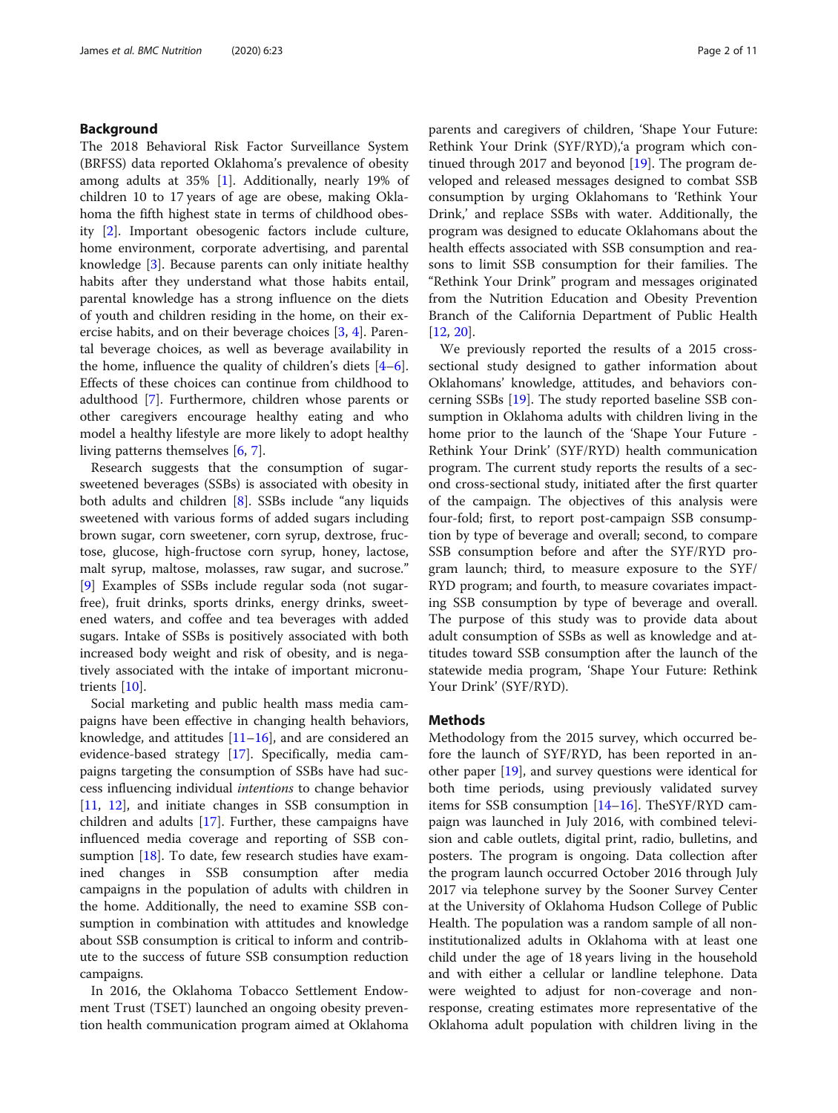#### Background

The 2018 Behavioral Risk Factor Surveillance System (BRFSS) data reported Oklahoma's prevalence of obesity among adults at 35% [\[1](#page-9-0)]. Additionally, nearly 19% of children 10 to 17 years of age are obese, making Oklahoma the fifth highest state in terms of childhood obesity [[2\]](#page-9-0). Important obesogenic factors include culture, home environment, corporate advertising, and parental knowledge [[3\]](#page-9-0). Because parents can only initiate healthy habits after they understand what those habits entail, parental knowledge has a strong influence on the diets of youth and children residing in the home, on their exercise habits, and on their beverage choices [\[3](#page-9-0), [4](#page-9-0)]. Parental beverage choices, as well as beverage availability in the home, influence the quality of children's diets [\[4](#page-9-0)–[6](#page-9-0)]. Effects of these choices can continue from childhood to adulthood [[7\]](#page-9-0). Furthermore, children whose parents or other caregivers encourage healthy eating and who model a healthy lifestyle are more likely to adopt healthy living patterns themselves [[6,](#page-9-0) [7\]](#page-9-0).

Research suggests that the consumption of sugarsweetened beverages (SSBs) is associated with obesity in both adults and children [[8\]](#page-9-0). SSBs include "any liquids sweetened with various forms of added sugars including brown sugar, corn sweetener, corn syrup, dextrose, fructose, glucose, high-fructose corn syrup, honey, lactose, malt syrup, maltose, molasses, raw sugar, and sucrose." [[9\]](#page-9-0) Examples of SSBs include regular soda (not sugarfree), fruit drinks, sports drinks, energy drinks, sweetened waters, and coffee and tea beverages with added sugars. Intake of SSBs is positively associated with both increased body weight and risk of obesity, and is negatively associated with the intake of important micronutrients [[10\]](#page-9-0).

Social marketing and public health mass media campaigns have been effective in changing health behaviors, knowledge, and attitudes  $[11–16]$  $[11–16]$  $[11–16]$ , and are considered an evidence-based strategy [\[17\]](#page-9-0). Specifically, media campaigns targeting the consumption of SSBs have had success influencing individual intentions to change behavior [[11,](#page-9-0) [12\]](#page-9-0), and initiate changes in SSB consumption in children and adults [\[17](#page-9-0)]. Further, these campaigns have influenced media coverage and reporting of SSB consumption [[18\]](#page-9-0). To date, few research studies have examined changes in SSB consumption after media campaigns in the population of adults with children in the home. Additionally, the need to examine SSB consumption in combination with attitudes and knowledge about SSB consumption is critical to inform and contribute to the success of future SSB consumption reduction campaigns.

In 2016, the Oklahoma Tobacco Settlement Endowment Trust (TSET) launched an ongoing obesity prevention health communication program aimed at Oklahoma parents and caregivers of children, 'Shape Your Future: Rethink Your Drink (SYF/RYD),'a program which continued through 2017 and beyonod  $[19]$  $[19]$ . The program developed and released messages designed to combat SSB consumption by urging Oklahomans to 'Rethink Your Drink,' and replace SSBs with water. Additionally, the program was designed to educate Oklahomans about the health effects associated with SSB consumption and reasons to limit SSB consumption for their families. The "Rethink Your Drink" program and messages originated from the Nutrition Education and Obesity Prevention Branch of the California Department of Public Health [[12,](#page-9-0) [20\]](#page-9-0).

We previously reported the results of a 2015 crosssectional study designed to gather information about Oklahomans' knowledge, attitudes, and behaviors concerning SSBs [\[19](#page-9-0)]. The study reported baseline SSB consumption in Oklahoma adults with children living in the home prior to the launch of the 'Shape Your Future - Rethink Your Drink' (SYF/RYD) health communication program. The current study reports the results of a second cross-sectional study, initiated after the first quarter of the campaign. The objectives of this analysis were four-fold; first, to report post-campaign SSB consumption by type of beverage and overall; second, to compare SSB consumption before and after the SYF/RYD program launch; third, to measure exposure to the SYF/ RYD program; and fourth, to measure covariates impacting SSB consumption by type of beverage and overall. The purpose of this study was to provide data about adult consumption of SSBs as well as knowledge and attitudes toward SSB consumption after the launch of the statewide media program, 'Shape Your Future: Rethink Your Drink' (SYF/RYD).

#### **Methods**

Methodology from the 2015 survey, which occurred before the launch of SYF/RYD, has been reported in another paper [[19\]](#page-9-0), and survey questions were identical for both time periods, using previously validated survey items for SSB consumption [[14](#page-9-0)–[16](#page-9-0)]. TheSYF/RYD campaign was launched in July 2016, with combined television and cable outlets, digital print, radio, bulletins, and posters. The program is ongoing. Data collection after the program launch occurred October 2016 through July 2017 via telephone survey by the Sooner Survey Center at the University of Oklahoma Hudson College of Public Health. The population was a random sample of all noninstitutionalized adults in Oklahoma with at least one child under the age of 18 years living in the household and with either a cellular or landline telephone. Data were weighted to adjust for non-coverage and nonresponse, creating estimates more representative of the Oklahoma adult population with children living in the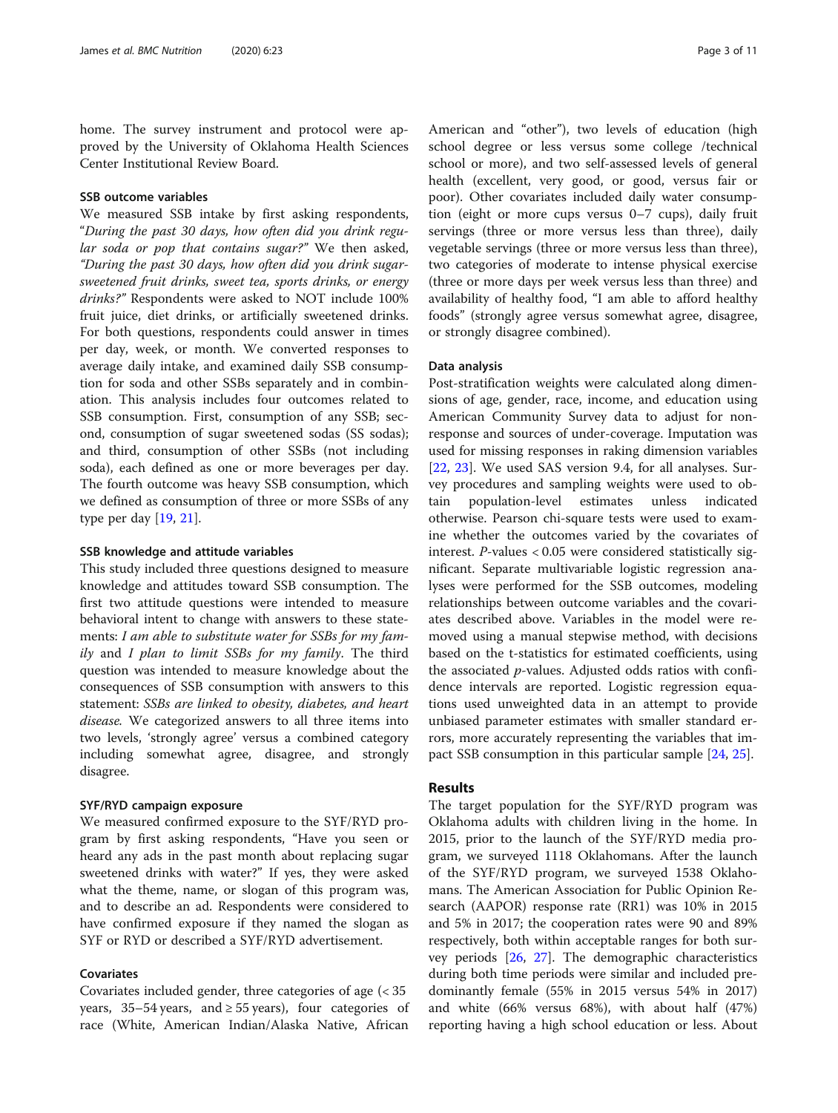home. The survey instrument and protocol were approved by the University of Oklahoma Health Sciences Center Institutional Review Board.

#### SSB outcome variables

We measured SSB intake by first asking respondents, "During the past 30 days, how often did you drink regular soda or pop that contains sugar?" We then asked, "During the past 30 days, how often did you drink sugarsweetened fruit drinks, sweet tea, sports drinks, or energy drinks?" Respondents were asked to NOT include 100% fruit juice, diet drinks, or artificially sweetened drinks. For both questions, respondents could answer in times per day, week, or month. We converted responses to average daily intake, and examined daily SSB consumption for soda and other SSBs separately and in combination. This analysis includes four outcomes related to SSB consumption. First, consumption of any SSB; second, consumption of sugar sweetened sodas (SS sodas); and third, consumption of other SSBs (not including soda), each defined as one or more beverages per day. The fourth outcome was heavy SSB consumption, which we defined as consumption of three or more SSBs of any type per day [\[19,](#page-9-0) [21\]](#page-9-0).

#### SSB knowledge and attitude variables

This study included three questions designed to measure knowledge and attitudes toward SSB consumption. The first two attitude questions were intended to measure behavioral intent to change with answers to these statements: I am able to substitute water for SSBs for my family and I plan to limit SSBs for my family. The third question was intended to measure knowledge about the consequences of SSB consumption with answers to this statement: SSBs are linked to obesity, diabetes, and heart disease. We categorized answers to all three items into two levels, 'strongly agree' versus a combined category including somewhat agree, disagree, and strongly disagree.

#### SYF/RYD campaign exposure

We measured confirmed exposure to the SYF/RYD program by first asking respondents, "Have you seen or heard any ads in the past month about replacing sugar sweetened drinks with water?" If yes, they were asked what the theme, name, or slogan of this program was, and to describe an ad. Respondents were considered to have confirmed exposure if they named the slogan as SYF or RYD or described a SYF/RYD advertisement.

#### Covariates

Covariates included gender, three categories of age (< 35 years, 35–54 years, and  $\ge$  55 years), four categories of race (White, American Indian/Alaska Native, African American and "other"), two levels of education (high school degree or less versus some college /technical school or more), and two self-assessed levels of general health (excellent, very good, or good, versus fair or poor). Other covariates included daily water consumption (eight or more cups versus 0–7 cups), daily fruit servings (three or more versus less than three), daily vegetable servings (three or more versus less than three), two categories of moderate to intense physical exercise (three or more days per week versus less than three) and availability of healthy food, "I am able to afford healthy foods" (strongly agree versus somewhat agree, disagree, or strongly disagree combined).

#### Data analysis

Post-stratification weights were calculated along dimensions of age, gender, race, income, and education using American Community Survey data to adjust for nonresponse and sources of under-coverage. Imputation was used for missing responses in raking dimension variables [[22,](#page-9-0) [23](#page-9-0)]. We used SAS version 9.4, for all analyses. Survey procedures and sampling weights were used to obtain population-level estimates unless indicated otherwise. Pearson chi-square tests were used to examine whether the outcomes varied by the covariates of interest. P-values < 0.05 were considered statistically significant. Separate multivariable logistic regression analyses were performed for the SSB outcomes, modeling relationships between outcome variables and the covariates described above. Variables in the model were removed using a manual stepwise method, with decisions based on the t-statistics for estimated coefficients, using the associated  $p$ -values. Adjusted odds ratios with confidence intervals are reported. Logistic regression equations used unweighted data in an attempt to provide unbiased parameter estimates with smaller standard errors, more accurately representing the variables that impact SSB consumption in this particular sample [[24,](#page-9-0) [25\]](#page-9-0).

#### Results

The target population for the SYF/RYD program was Oklahoma adults with children living in the home. In 2015, prior to the launch of the SYF/RYD media program, we surveyed 1118 Oklahomans. After the launch of the SYF/RYD program, we surveyed 1538 Oklahomans. The American Association for Public Opinion Research (AAPOR) response rate (RR1) was 10% in 2015 and 5% in 2017; the cooperation rates were 90 and 89% respectively, both within acceptable ranges for both survey periods [\[26,](#page-9-0) [27](#page-9-0)]. The demographic characteristics during both time periods were similar and included predominantly female (55% in 2015 versus 54% in 2017) and white (66% versus 68%), with about half (47%) reporting having a high school education or less. About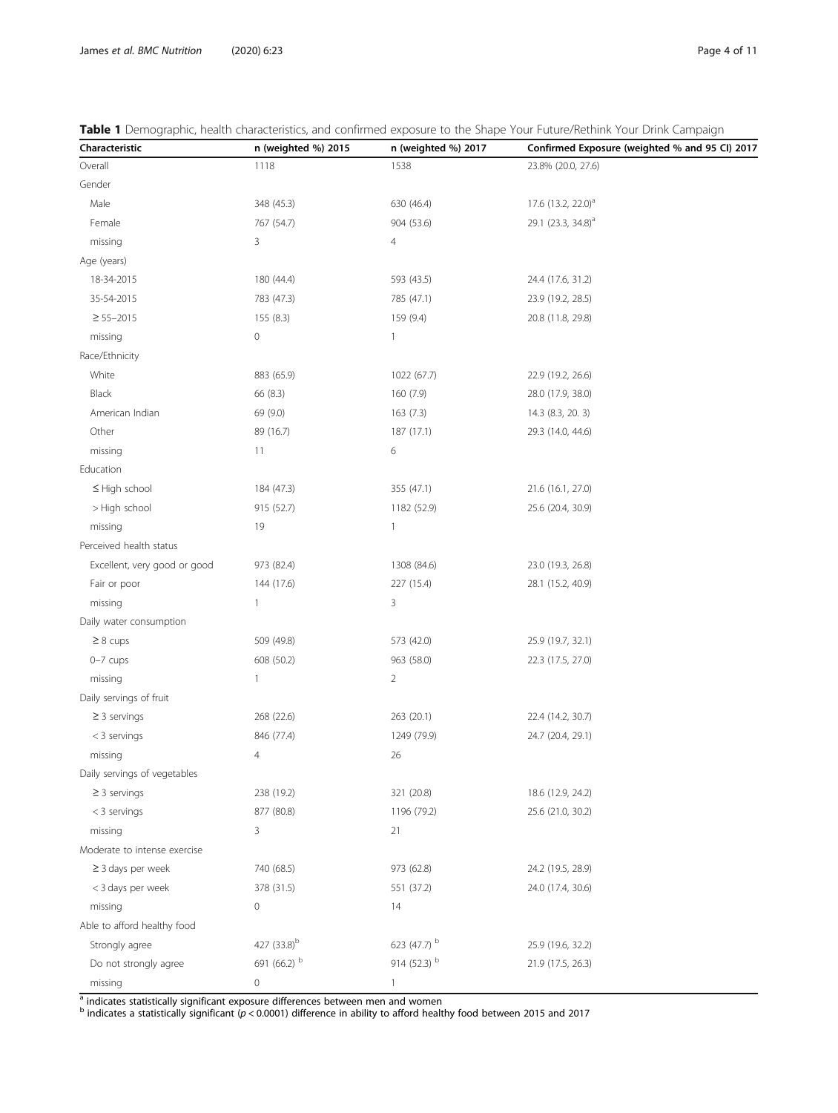| Characteristic               | n (weighted %) 2015     | n (weighted %) 2017 | Confirmed Exposure (weighted % and 95 CI) 2017 |
|------------------------------|-------------------------|---------------------|------------------------------------------------|
| Overall                      | 1118                    | 1538                | 23.8% (20.0, 27.6)                             |
| Gender                       |                         |                     |                                                |
| Male                         | 348 (45.3)              | 630 (46.4)          | 17.6 (13.2, 22.0) <sup>a</sup>                 |
| Female                       | 767 (54.7)              | 904 (53.6)          | 29.1 (23.3, 34.8) <sup>a</sup>                 |
| missing                      | 3                       | $\overline{4}$      |                                                |
| Age (years)                  |                         |                     |                                                |
| 18-34-2015                   | 180 (44.4)              | 593 (43.5)          | 24.4 (17.6, 31.2)                              |
| 35-54-2015                   | 783 (47.3)              | 785 (47.1)          | 23.9 (19.2, 28.5)                              |
| $\geq 55 - 2015$             | 155(8.3)                | 159 (9.4)           | 20.8 (11.8, 29.8)                              |
| missing                      | $\mathbf 0$             | $\mathbf{1}$        |                                                |
| Race/Ethnicity               |                         |                     |                                                |
| White                        | 883 (65.9)              | 1022 (67.7)         | 22.9 (19.2, 26.6)                              |
| Black                        | 66 (8.3)                | 160 (7.9)           | 28.0 (17.9, 38.0)                              |
| American Indian              | 69 (9.0)                | 163(7.3)            | 14.3 (8.3, 20. 3)                              |
| Other                        | 89 (16.7)               | 187 (17.1)          | 29.3 (14.0, 44.6)                              |
| missing                      | 11                      | 6                   |                                                |
| Education                    |                         |                     |                                                |
| $\leq$ High school           | 184 (47.3)              | 355 (47.1)          | 21.6 (16.1, 27.0)                              |
| > High school                | 915 (52.7)              | 1182 (52.9)         | 25.6 (20.4, 30.9)                              |
| missing                      | 19                      | $\mathbf{1}$        |                                                |
| Perceived health status      |                         |                     |                                                |
| Excellent, very good or good | 973 (82.4)              | 1308 (84.6)         | 23.0 (19.3, 26.8)                              |
| Fair or poor                 | 144 (17.6)              | 227 (15.4)          | 28.1 (15.2, 40.9)                              |
| missing                      | 1                       | 3                   |                                                |
| Daily water consumption      |                         |                     |                                                |
| $\geq 8$ cups                | 509 (49.8)              | 573 (42.0)          | 25.9 (19.7, 32.1)                              |
| $0-7$ cups                   | 608 (50.2)              | 963 (58.0)          | 22.3 (17.5, 27.0)                              |
| missing                      | 1                       | $\overline{2}$      |                                                |
| Daily servings of fruit      |                         |                     |                                                |
| $\geq$ 3 servings            | 268 (22.6)              | 263 (20.1)          | 22.4 (14.2, 30.7)                              |
| $<$ 3 servings               | 846 (77.4)              | 1249 (79.9)         | 24.7 (20.4, 29.1)                              |
| missing                      | 4                       | 26                  |                                                |
| Daily servings of vegetables |                         |                     |                                                |
| $\geq$ 3 servings            | 238 (19.2)              | 321 (20.8)          | 18.6 (12.9, 24.2)                              |
| $<$ 3 servings               | 877 (80.8)              | 1196 (79.2)         | 25.6 (21.0, 30.2)                              |
| missing                      | 3                       | 21                  |                                                |
| Moderate to intense exercise |                         |                     |                                                |
| $\geq$ 3 days per week       | 740 (68.5)              | 973 (62.8)          | 24.2 (19.5, 28.9)                              |
| < 3 days per week            | 378 (31.5)              | 551 (37.2)          | 24.0 (17.4, 30.6)                              |
| missing                      | $\mathbf 0$             | 14                  |                                                |
| Able to afford healthy food  |                         |                     |                                                |
| Strongly agree               | 427 (33.8) <sup>b</sup> | 623 (47.7) b        | 25.9 (19.6, 32.2)                              |
| Do not strongly agree        | 691 (66.2) b            | 914 (52.3) b        | 21.9 (17.5, 26.3)                              |
| missing                      | 0                       | 1                   |                                                |

<span id="page-3-0"></span>

<sup>a</sup> indicates statistically significant exposure differences between men and women

 $^{\rm b}$  indicates a statistically significant (p < 0.0001) difference in ability to afford healthy food between 2015 and 2017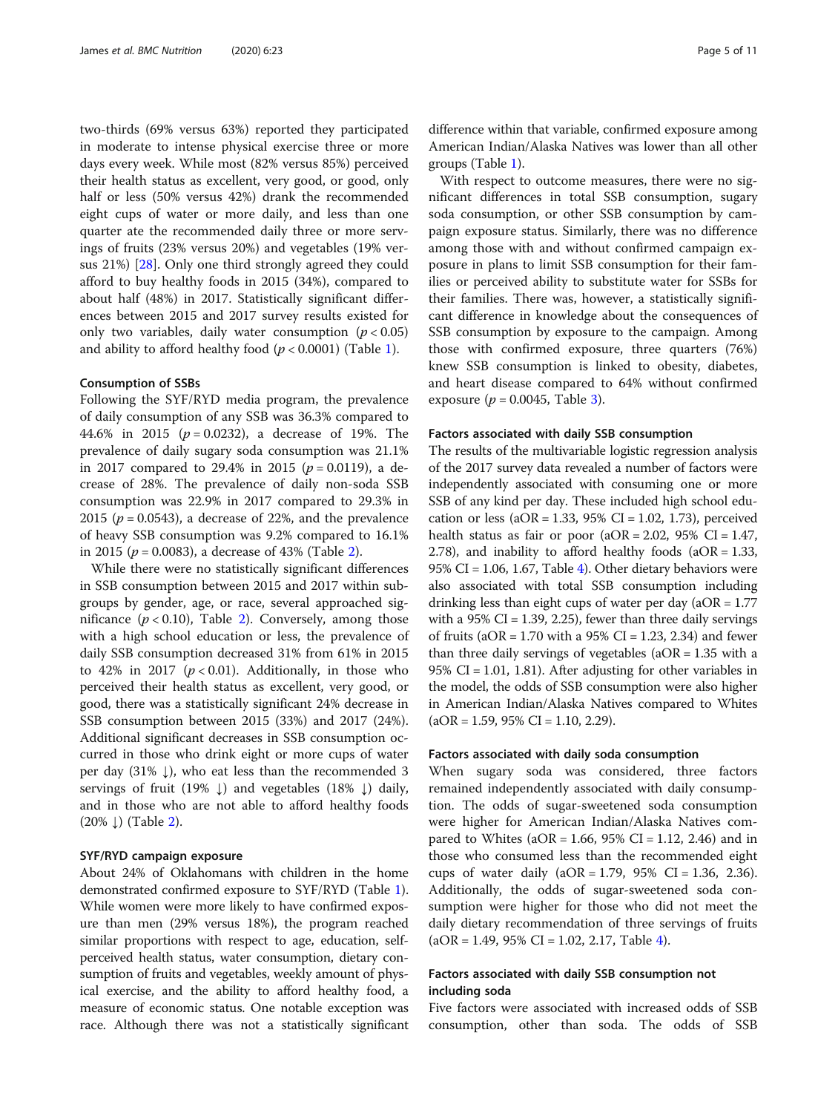two-thirds (69% versus 63%) reported they participated in moderate to intense physical exercise three or more days every week. While most (82% versus 85%) perceived their health status as excellent, very good, or good, only half or less (50% versus 42%) drank the recommended eight cups of water or more daily, and less than one quarter ate the recommended daily three or more servings of fruits (23% versus 20%) and vegetables (19% versus 21%) [[28\]](#page-10-0). Only one third strongly agreed they could afford to buy healthy foods in 2015 (34%), compared to about half (48%) in 2017. Statistically significant differences between 2015 and 2017 survey results existed for only two variables, daily water consumption ( $p < 0.05$ ) and ability to afford healthy food  $(p < 0.0001)$  $(p < 0.0001)$  (Table 1).

#### Consumption of SSBs

Following the SYF/RYD media program, the prevalence of daily consumption of any SSB was 36.3% compared to 44.6% in 2015 ( $p = 0.0232$ ), a decrease of 19%. The prevalence of daily sugary soda consumption was 21.1% in 2017 compared to 29.4% in 2015 ( $p = 0.0119$ ), a decrease of 28%. The prevalence of daily non-soda SSB consumption was 22.9% in 2017 compared to 29.3% in 2015 ( $p = 0.0543$ ), a decrease of 22%, and the prevalence of heavy SSB consumption was 9.2% compared to 16.1% in 2015 ( $p = 0.0083$ ), a decrease of 43% (Table [2\)](#page-5-0).

While there were no statistically significant differences in SSB consumption between 2015 and 2017 within subgroups by gender, age, or race, several approached significance  $(p < 0.10)$ , Table [2\)](#page-5-0). Conversely, among those with a high school education or less, the prevalence of daily SSB consumption decreased 31% from 61% in 2015 to 42% in 2017 ( $p < 0.01$ ). Additionally, in those who perceived their health status as excellent, very good, or good, there was a statistically significant 24% decrease in SSB consumption between 2015 (33%) and 2017 (24%). Additional significant decreases in SSB consumption occurred in those who drink eight or more cups of water per day  $(31\% \downarrow)$ , who eat less than the recommended 3 servings of fruit (19%  $\downarrow$ ) and vegetables (18%  $\downarrow$ ) daily, and in those who are not able to afford healthy foods  $(20\% \downarrow)$  $(20\% \downarrow)$  $(20\% \downarrow)$  (Table 2).

#### SYF/RYD campaign exposure

About 24% of Oklahomans with children in the home demonstrated confirmed exposure to SYF/RYD (Table [1](#page-3-0)). While women were more likely to have confirmed exposure than men (29% versus 18%), the program reached similar proportions with respect to age, education, selfperceived health status, water consumption, dietary consumption of fruits and vegetables, weekly amount of physical exercise, and the ability to afford healthy food, a measure of economic status. One notable exception was race. Although there was not a statistically significant difference within that variable, confirmed exposure among American Indian/Alaska Natives was lower than all other groups (Table [1\)](#page-3-0).

With respect to outcome measures, there were no significant differences in total SSB consumption, sugary soda consumption, or other SSB consumption by campaign exposure status. Similarly, there was no difference among those with and without confirmed campaign exposure in plans to limit SSB consumption for their families or perceived ability to substitute water for SSBs for their families. There was, however, a statistically significant difference in knowledge about the consequences of SSB consumption by exposure to the campaign. Among those with confirmed exposure, three quarters (76%) knew SSB consumption is linked to obesity, diabetes, and heart disease compared to 64% without confirmed exposure ( $p = 0.0045$ , Table [3\)](#page-6-0).

#### Factors associated with daily SSB consumption

The results of the multivariable logistic regression analysis of the 2017 survey data revealed a number of factors were independently associated with consuming one or more SSB of any kind per day. These included high school education or less ( $aOR = 1.33$ ,  $95\%$  CI = 1.02, 1.73), perceived health status as fair or poor  $(aOR = 2.02, 95\% \text{ CI} = 1.47,$ 2.78), and inability to afford healthy foods  $(aOR = 1.33,$ 95% CI = 1.06, 1.67, Table [4](#page-7-0)). Other dietary behaviors were also associated with total SSB consumption including drinking less than eight cups of water per day ( $aOR = 1.77$ ) with a  $95\%$  CI = 1.39, 2.25), fewer than three daily servings of fruits ( $aOR = 1.70$  with a 95% CI = 1.23, 2.34) and fewer than three daily servings of vegetables ( $aOR = 1.35$  with a 95% CI = 1.01, 1.81). After adjusting for other variables in the model, the odds of SSB consumption were also higher in American Indian/Alaska Natives compared to Whites  $(aOR = 1.59, 95\% CI = 1.10, 2.29).$ 

#### Factors associated with daily soda consumption

When sugary soda was considered, three factors remained independently associated with daily consumption. The odds of sugar-sweetened soda consumption were higher for American Indian/Alaska Natives compared to Whites ( $aOR = 1.66$ ,  $95\%$  CI = 1.12, 2.46) and in those who consumed less than the recommended eight cups of water daily  $(aOR = 1.79, 95\% \text{ CI} = 1.36, 2.36)$ . Additionally, the odds of sugar-sweetened soda consumption were higher for those who did not meet the daily dietary recommendation of three servings of fruits  $(aOR = 1.49, 95\% \text{ CI} = 1.02, 2.17, \text{Table 4}).$  $(aOR = 1.49, 95\% \text{ CI} = 1.02, 2.17, \text{Table 4}).$  $(aOR = 1.49, 95\% \text{ CI} = 1.02, 2.17, \text{Table 4}).$ 

#### Factors associated with daily SSB consumption not including soda

Five factors were associated with increased odds of SSB consumption, other than soda. The odds of SSB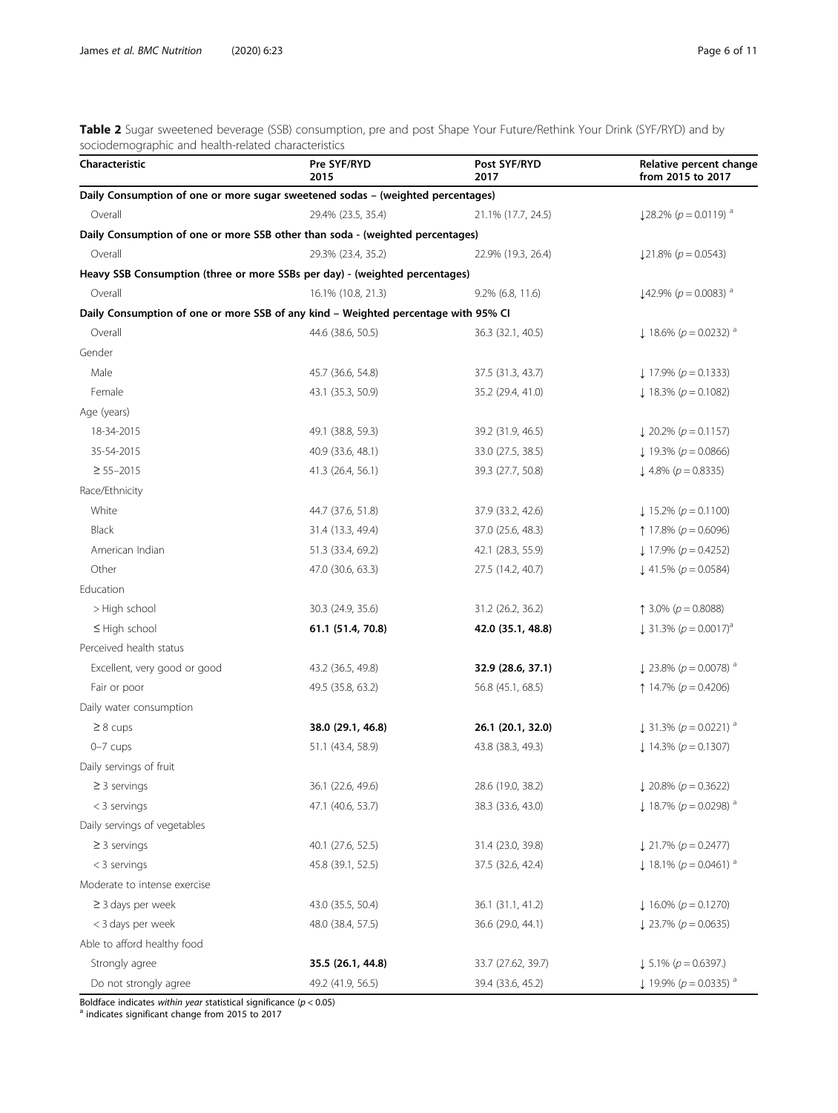<span id="page-5-0"></span>Table 2 Sugar sweetened beverage (SSB) consumption, pre and post Shape Your Future/Rethink Your Drink (SYF/RYD) and by sociodemographic and health-related characteristics

| Characteristic                                                                     | Pre SYF/RYD<br>2015 | Post SYF/RYD<br>2017 | Relative percent change<br>from 2015 to 2017     |
|------------------------------------------------------------------------------------|---------------------|----------------------|--------------------------------------------------|
| Daily Consumption of one or more sugar sweetened sodas - (weighted percentages)    |                     |                      |                                                  |
| Overall                                                                            | 29.4% (23.5, 35.4)  | 21.1% (17.7, 24.5)   | $\downarrow$ 28.2% (p = 0.0119) <sup>a</sup>     |
| Daily Consumption of one or more SSB other than soda - (weighted percentages)      |                     |                      |                                                  |
| Overall                                                                            | 29.3% (23.4, 35.2)  | 22.9% (19.3, 26.4)   | $\downarrow$ 21.8% ( $p = 0.0543$ )              |
| Heavy SSB Consumption (three or more SSBs per day) - (weighted percentages)        |                     |                      |                                                  |
| Overall                                                                            | 16.1% (10.8, 21.3)  | $9.2\%$ (6.8, 11.6)  | $\downarrow$ 42.9% (p = 0.0083) <sup>a</sup>     |
| Daily Consumption of one or more SSB of any kind - Weighted percentage with 95% CI |                     |                      |                                                  |
| Overall                                                                            | 44.6 (38.6, 50.5)   | 36.3 (32.1, 40.5)    | $\downarrow$ 18.6% ( $p = 0.0232$ ) <sup>a</sup> |
| Gender                                                                             |                     |                      |                                                  |
| Male                                                                               | 45.7 (36.6, 54.8)   | 37.5 (31.3, 43.7)    | $\downarrow$ 17.9% ( $p = 0.1333$ )              |
| Female                                                                             | 43.1 (35.3, 50.9)   | 35.2 (29.4, 41.0)    | $\downarrow$ 18.3% ( $p = 0.1082$ )              |
| Age (years)                                                                        |                     |                      |                                                  |
| 18-34-2015                                                                         | 49.1 (38.8, 59.3)   | 39.2 (31.9, 46.5)    | $\downarrow$ 20.2% ( $p = 0.1157$ )              |
| 35-54-2015                                                                         | 40.9 (33.6, 48.1)   | 33.0 (27.5, 38.5)    | $\downarrow$ 19.3% ( $p = 0.0866$ )              |
| $\geq 55 - 2015$                                                                   | 41.3 (26.4, 56.1)   | 39.3 (27.7, 50.8)    | $\downarrow$ 4.8% ( $p = 0.8335$ )               |
| Race/Ethnicity                                                                     |                     |                      |                                                  |
| White                                                                              | 44.7 (37.6, 51.8)   | 37.9 (33.2, 42.6)    | $\downarrow$ 15.2% ( $p = 0.1100$ )              |
| <b>Black</b>                                                                       | 31.4 (13.3, 49.4)   | 37.0 (25.6, 48.3)    | $\uparrow$ 17.8% ( $p = 0.6096$ )                |
| American Indian                                                                    | 51.3 (33.4, 69.2)   | 42.1 (28.3, 55.9)    | $\downarrow$ 17.9% ( $p = 0.4252$ )              |
| Other                                                                              | 47.0 (30.6, 63.3)   | 27.5 (14.2, 40.7)    | $\downarrow$ 41.5% ( $p = 0.0584$ )              |
| Education                                                                          |                     |                      |                                                  |
| > High school                                                                      | 30.3 (24.9, 35.6)   | 31.2 (26.2, 36.2)    | ↑ 3.0% ( $p = 0.8088$ )                          |
| $\leq$ High school                                                                 | 61.1 (51.4, 70.8)   | 42.0 (35.1, 48.8)    | $\downarrow$ 31.3% ( $p = 0.0017$ ) <sup>a</sup> |
| Perceived health status                                                            |                     |                      |                                                  |
| Excellent, very good or good                                                       | 43.2 (36.5, 49.8)   | 32.9 (28.6, 37.1)    | $\downarrow$ 23.8% ( $p = 0.0078$ ) <sup>a</sup> |
| Fair or poor                                                                       | 49.5 (35.8, 63.2)   | 56.8 (45.1, 68.5)    | ↑ 14.7% ( $p = 0.4206$ )                         |
| Daily water consumption                                                            |                     |                      |                                                  |
| $\geq 8$ cups                                                                      | 38.0 (29.1, 46.8)   | 26.1 (20.1, 32.0)    | $\downarrow$ 31.3% ( $p = 0.0221$ ) <sup>a</sup> |
| $0-7$ cups                                                                         | 51.1 (43.4, 58.9)   | 43.8 (38.3, 49.3)    | $\downarrow$ 14.3% ( $p = 0.1307$ )              |
| Daily servings of fruit                                                            |                     |                      |                                                  |
| $\geq$ 3 servings                                                                  | 36.1 (22.6, 49.6)   | 28.6 (19.0, 38.2)    | $\downarrow$ 20.8% ( $p = 0.3622$ )              |
| $<$ 3 servings                                                                     | 47.1 (40.6, 53.7)   | 38.3 (33.6, 43.0)    | $\downarrow$ 18.7% ( $p = 0.0298$ ) <sup>a</sup> |
| Daily servings of vegetables                                                       |                     |                      |                                                  |
| $\geq$ 3 servings                                                                  | 40.1 (27.6, 52.5)   | 31.4 (23.0, 39.8)    | $\downarrow$ 21.7% ( $p = 0.2477$ )              |
| $<$ 3 servings                                                                     | 45.8 (39.1, 52.5)   | 37.5 (32.6, 42.4)    | $\downarrow$ 18.1% ( $p = 0.0461$ ) <sup>a</sup> |
| Moderate to intense exercise                                                       |                     |                      |                                                  |
| $\geq$ 3 days per week                                                             | 43.0 (35.5, 50.4)   | 36.1 (31.1, 41.2)    | $\downarrow$ 16.0% ( $p = 0.1270$ )              |
| < 3 days per week                                                                  | 48.0 (38.4, 57.5)   | 36.6 (29.0, 44.1)    | $\downarrow$ 23.7% ( $p = 0.0635$ )              |
| Able to afford healthy food                                                        |                     |                      |                                                  |
| Strongly agree                                                                     | 35.5 (26.1, 44.8)   | 33.7 (27.62, 39.7)   | $\downarrow$ 5.1% ( $p = 0.6397$ .)              |
| Do not strongly agree                                                              | 49.2 (41.9, 56.5)   | 39.4 (33.6, 45.2)    | $\downarrow$ 19.9% ( $p = 0.0335$ ) <sup>a</sup> |

Boldface indicates within year statistical significance ( $p < 0.05$ ) <br>a indicates significant change from 2015 to 2017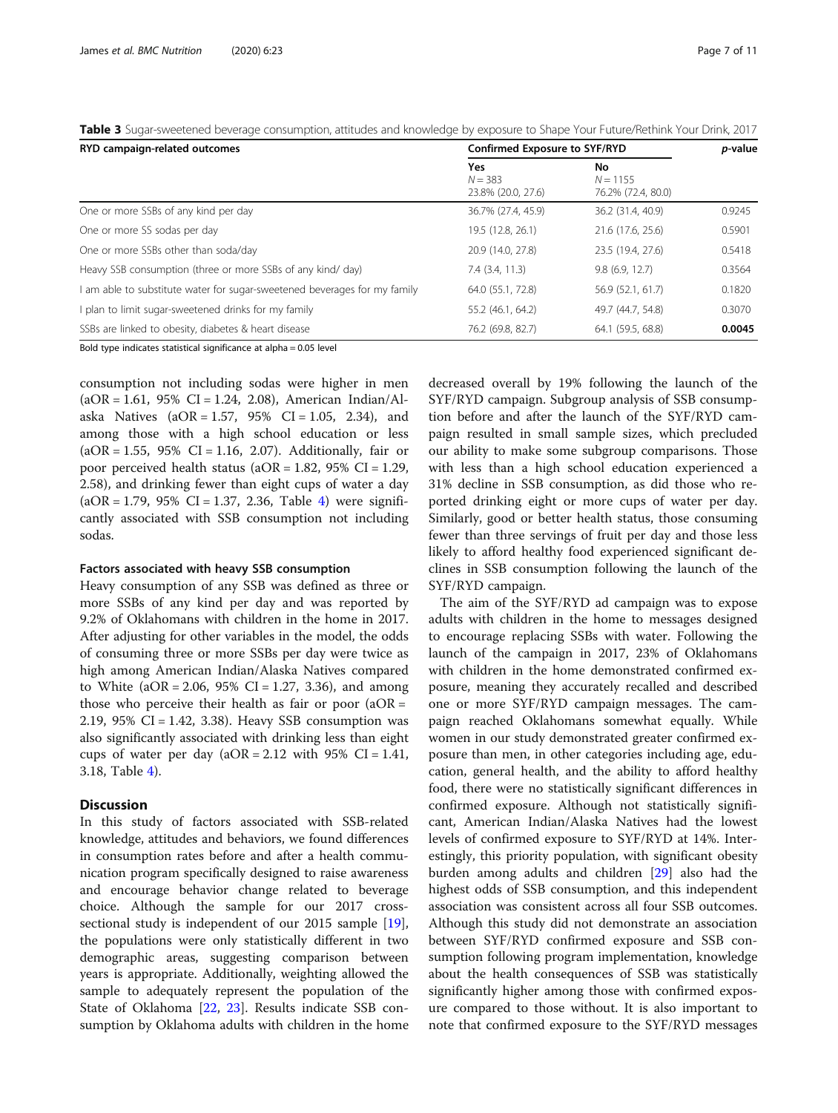<span id="page-6-0"></span>Table 3 Sugar-sweetened beverage consumption, attitudes and knowledge by exposure to Shape Your Future/Rethink Your Drink, 2017

| RYD campaign-related outcomes                                           | Confirmed Exposure to SYF/RYD                 | p-value                                |        |
|-------------------------------------------------------------------------|-----------------------------------------------|----------------------------------------|--------|
|                                                                         | <b>Yes</b><br>$N = 383$<br>23.8% (20.0, 27.6) | No<br>$N = 1155$<br>76.2% (72.4, 80.0) |        |
| One or more SSBs of any kind per day                                    | 36.7% (27.4, 45.9)                            | 36.2 (31.4, 40.9)                      | 0.9245 |
| One or more SS sodas per day                                            | 19.5 (12.8, 26.1)                             | 21.6 (17.6, 25.6)                      | 0.5901 |
| One or more SSBs other than soda/day                                    | 20.9 (14.0, 27.8)                             | 23.5 (19.4, 27.6)                      | 0.5418 |
| Heavy SSB consumption (three or more SSBs of any kind/day)              | $7.4$ $(3.4, 11.3)$                           | 9.8(6.9, 12.7)                         | 0.3564 |
| am able to substitute water for sugar-sweetened beverages for my family | 64.0 (55.1, 72.8)                             | 56.9 (52.1, 61.7)                      | 0.1820 |
| plan to limit sugar-sweetened drinks for my family                      | 55.2 (46.1, 64.2)                             | 49.7 (44.7, 54.8)                      | 0.3070 |
| SSBs are linked to obesity, diabetes & heart disease                    | 76.2 (69.8, 82.7)                             | 64.1 (59.5, 68.8)                      | 0.0045 |

Bold type indicates statistical significance at alpha = 0.05 level

consumption not including sodas were higher in men  $(aOR = 1.61, 95\% \text{ CI} = 1.24, 2.08)$ , American Indian/Alaska Natives  $(aOR = 1.57, 95\% \text{ CI} = 1.05, 2.34)$ , and among those with a high school education or less  $(aOR = 1.55, 95\% \text{ CI} = 1.16, 2.07)$ . Additionally, fair or poor perceived health status ( $aOR = 1.82$ , 95% CI = 1.29, 2.58), and drinking fewer than eight cups of water a day  $(aOR = 1.79, 95\% \text{ CI} = 1.37, 2.36, \text{ Table } 4)$  $(aOR = 1.79, 95\% \text{ CI} = 1.37, 2.36, \text{ Table } 4)$  $(aOR = 1.79, 95\% \text{ CI} = 1.37, 2.36, \text{ Table } 4)$  were significantly associated with SSB consumption not including sodas.

#### Factors associated with heavy SSB consumption

Heavy consumption of any SSB was defined as three or more SSBs of any kind per day and was reported by 9.2% of Oklahomans with children in the home in 2017. After adjusting for other variables in the model, the odds of consuming three or more SSBs per day were twice as high among American Indian/Alaska Natives compared to White ( $aOR = 2.06$ ,  $95\%$  CI = 1.27, 3.36), and among those who perceive their health as fair or poor  $(aOR =$ 2.19, 95% CI = 1.42, 3.38). Heavy SSB consumption was also significantly associated with drinking less than eight cups of water per day  $(aOR = 2.12$  with 95% CI = 1.41, 3.18, Table [4\)](#page-7-0).

#### **Discussion**

In this study of factors associated with SSB-related knowledge, attitudes and behaviors, we found differences in consumption rates before and after a health communication program specifically designed to raise awareness and encourage behavior change related to beverage choice. Although the sample for our 2017 crosssectional study is independent of our 2015 sample [\[19](#page-9-0)], the populations were only statistically different in two demographic areas, suggesting comparison between years is appropriate. Additionally, weighting allowed the sample to adequately represent the population of the State of Oklahoma [[22](#page-9-0), [23\]](#page-9-0). Results indicate SSB consumption by Oklahoma adults with children in the home

decreased overall by 19% following the launch of the SYF/RYD campaign. Subgroup analysis of SSB consumption before and after the launch of the SYF/RYD campaign resulted in small sample sizes, which precluded our ability to make some subgroup comparisons. Those with less than a high school education experienced a 31% decline in SSB consumption, as did those who reported drinking eight or more cups of water per day. Similarly, good or better health status, those consuming fewer than three servings of fruit per day and those less likely to afford healthy food experienced significant declines in SSB consumption following the launch of the SYF/RYD campaign.

The aim of the SYF/RYD ad campaign was to expose adults with children in the home to messages designed to encourage replacing SSBs with water. Following the launch of the campaign in 2017, 23% of Oklahomans with children in the home demonstrated confirmed exposure, meaning they accurately recalled and described one or more SYF/RYD campaign messages. The campaign reached Oklahomans somewhat equally. While women in our study demonstrated greater confirmed exposure than men, in other categories including age, education, general health, and the ability to afford healthy food, there were no statistically significant differences in confirmed exposure. Although not statistically significant, American Indian/Alaska Natives had the lowest levels of confirmed exposure to SYF/RYD at 14%. Interestingly, this priority population, with significant obesity burden among adults and children [\[29](#page-10-0)] also had the highest odds of SSB consumption, and this independent association was consistent across all four SSB outcomes. Although this study did not demonstrate an association between SYF/RYD confirmed exposure and SSB consumption following program implementation, knowledge about the health consequences of SSB was statistically significantly higher among those with confirmed exposure compared to those without. It is also important to note that confirmed exposure to the SYF/RYD messages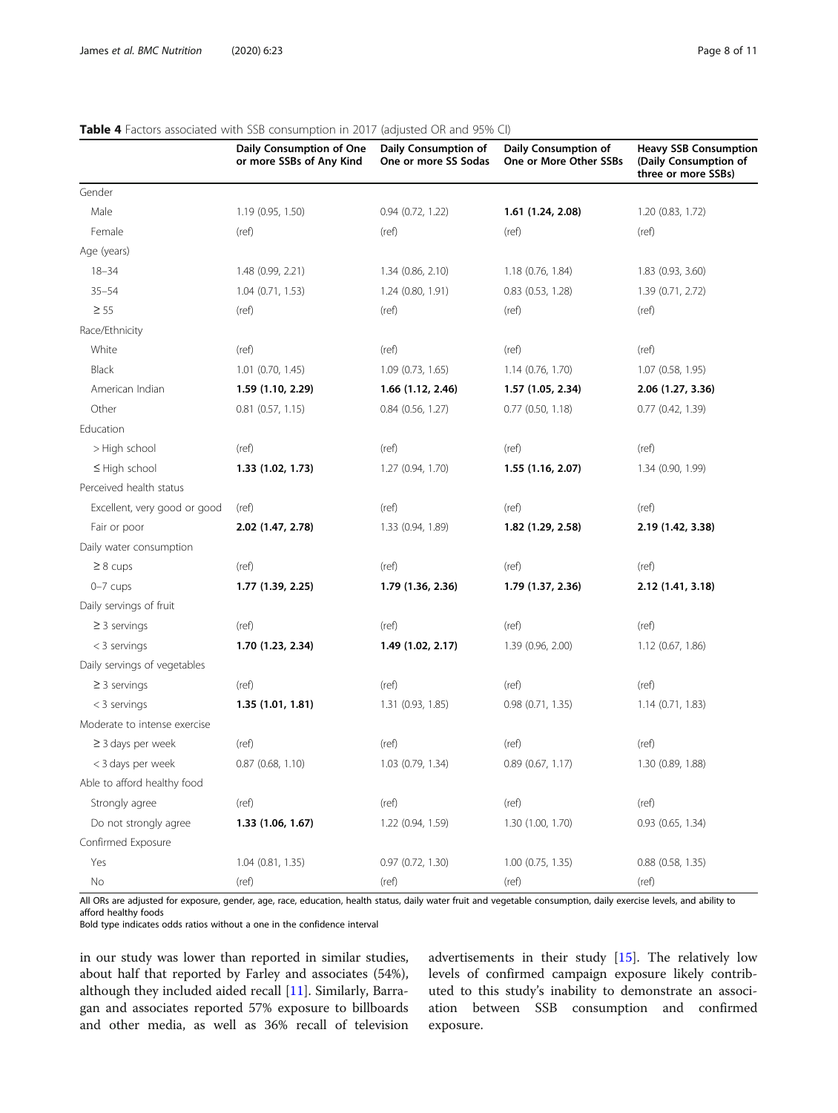| <b>Table +</b> Lactors associated with 33D consumption in 2017 (adjusted On and 3370 Ci) | Daily Consumption of One<br>or more SSBs of Any Kind | Daily Consumption of<br>One or more SS Sodas | Daily Consumption of<br>One or More Other SSBs | <b>Heavy SSB Consumption</b><br>(Daily Consumption of<br>three or more SSBs) |
|------------------------------------------------------------------------------------------|------------------------------------------------------|----------------------------------------------|------------------------------------------------|------------------------------------------------------------------------------|
| Gender                                                                                   |                                                      |                                              |                                                |                                                                              |
| Male                                                                                     | 1.19 (0.95, 1.50)                                    | 0.94 (0.72, 1.22)                            | 1.61 (1.24, 2.08)                              | 1.20 (0.83, 1.72)                                                            |
| Female                                                                                   | (ref)                                                | (ref)                                        | (ref)                                          | (ref)                                                                        |
| Age (years)                                                                              |                                                      |                                              |                                                |                                                                              |
| $18 - 34$                                                                                | 1.48 (0.99, 2.21)                                    | 1.34 (0.86, 2.10)                            | 1.18 (0.76, 1.84)                              | 1.83 (0.93, 3.60)                                                            |
| $35 - 54$                                                                                | 1.04(0.71, 1.53)                                     | 1.24(0.80, 1.91)                             | $0.83$ $(0.53, 1.28)$                          | 1.39 (0.71, 2.72)                                                            |
| $\geq 55$                                                                                | (ref)                                                | (ref)                                        | (ref)                                          | (ref)                                                                        |
| Race/Ethnicity                                                                           |                                                      |                                              |                                                |                                                                              |
| White                                                                                    | (ref)                                                | (ref)                                        | (ref)                                          | (ref)                                                                        |
| <b>Black</b>                                                                             | 1.01 (0.70, 1.45)                                    | 1.09 (0.73, 1.65)                            | 1.14 (0.76, 1.70)                              | 1.07 (0.58, 1.95)                                                            |
| American Indian                                                                          | 1.59 (1.10, 2.29)                                    | 1.66 (1.12, 2.46)                            | 1.57 (1.05, 2.34)                              | 2.06 (1.27, 3.36)                                                            |
| Other                                                                                    | $0.81$ $(0.57, 1.15)$                                | $0.84$ (0.56, 1.27)                          | $0.77$ $(0.50, 1.18)$                          | $0.77$ $(0.42, 1.39)$                                                        |
| Education                                                                                |                                                      |                                              |                                                |                                                                              |
| > High school                                                                            | (ref)                                                | (ref)                                        | (ref)                                          | (ref)                                                                        |
| $\leq$ High school                                                                       | 1.33 (1.02, 1.73)                                    | 1.27 (0.94, 1.70)                            | 1.55 (1.16, 2.07)                              | 1.34 (0.90, 1.99)                                                            |
| Perceived health status                                                                  |                                                      |                                              |                                                |                                                                              |
| Excellent, very good or good                                                             | (ref)                                                | (ref)                                        | (ref)                                          | (ref)                                                                        |
| Fair or poor                                                                             | 2.02 (1.47, 2.78)                                    | 1.33 (0.94, 1.89)                            | 1.82 (1.29, 2.58)                              | 2.19 (1.42, 3.38)                                                            |
| Daily water consumption                                                                  |                                                      |                                              |                                                |                                                                              |
| $\geq 8$ cups                                                                            | (ref)                                                | (ref)                                        | (ref)                                          | (ref)                                                                        |
| $0-7$ cups                                                                               | 1.77 (1.39, 2.25)                                    | 1.79 (1.36, 2.36)                            | 1.79 (1.37, 2.36)                              | 2.12 (1.41, 3.18)                                                            |
| Daily servings of fruit                                                                  |                                                      |                                              |                                                |                                                                              |
| $\geq$ 3 servings                                                                        | (ref)                                                | (ref)                                        | (ref)                                          | (ref)                                                                        |
| $<$ 3 servings                                                                           | 1.70 (1.23, 2.34)                                    | 1.49 (1.02, 2.17)                            | 1.39 (0.96, 2.00)                              | 1.12 (0.67, 1.86)                                                            |
| Daily servings of vegetables                                                             |                                                      |                                              |                                                |                                                                              |
| $\geq$ 3 servings                                                                        | (ref)                                                | (ref)                                        | (ref)                                          | (ref)                                                                        |
| $<$ 3 servings                                                                           | 1.35 (1.01, 1.81)                                    | 1.31 (0.93, 1.85)                            | $0.98$ $(0.71, 1.35)$                          | 1.14(0.71, 1.83)                                                             |
| Moderate to intense exercise                                                             |                                                      |                                              |                                                |                                                                              |
| $\geq$ 3 days per week                                                                   | (ref)                                                | (ref)                                        | (ref)                                          | (ref)                                                                        |
| < 3 days per week                                                                        | 0.87 (0.68, 1.10)                                    | 1.03 (0.79, 1.34)                            | 0.89 (0.67, 1.17)                              | 1.30 (0.89, 1.88)                                                            |
| Able to afford healthy food                                                              |                                                      |                                              |                                                |                                                                              |
| Strongly agree                                                                           | (ref)                                                | (ref)                                        | (ref)                                          | (ref)                                                                        |
| Do not strongly agree                                                                    | 1.33 (1.06, 1.67)                                    | 1.22 (0.94, 1.59)                            | 1.30 (1.00, 1.70)                              | 0.93 (0.65, 1.34)                                                            |
| Confirmed Exposure                                                                       |                                                      |                                              |                                                |                                                                              |
| Yes                                                                                      | 1.04(0.81, 1.35)                                     | 0.97(0.72, 1.30)                             | $1.00$ (0.75, 1.35)                            | $0.88$ $(0.58, 1.35)$                                                        |
| $\rm No$                                                                                 | (ref)                                                | (ref)                                        | (ref)                                          | (ref)                                                                        |

#### <span id="page-7-0"></span>Table 4 Factors associated with SSB consumption in 2017 (adjusted OR and 95% CI)

All ORs are adjusted for exposure, gender, age, race, education, health status, daily water fruit and vegetable consumption, daily exercise levels, and ability to afford healthy foods

Bold type indicates odds ratios without a one in the confidence interval

in our study was lower than reported in similar studies, about half that reported by Farley and associates (54%), although they included aided recall [\[11\]](#page-9-0). Similarly, Barragan and associates reported 57% exposure to billboards and other media, as well as 36% recall of television

advertisements in their study [[15\]](#page-9-0). The relatively low levels of confirmed campaign exposure likely contributed to this study's inability to demonstrate an association between SSB consumption and confirmed exposure.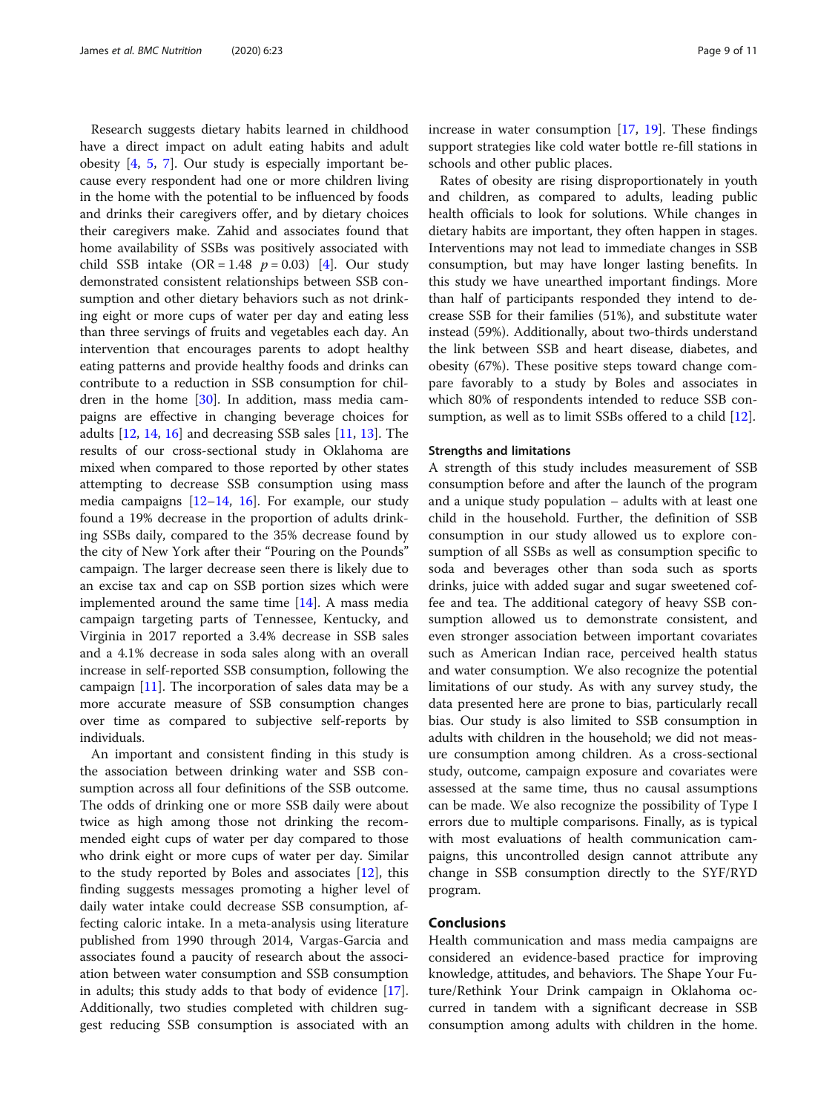Research suggests dietary habits learned in childhood have a direct impact on adult eating habits and adult obesity [[4,](#page-9-0) [5](#page-9-0), [7\]](#page-9-0). Our study is especially important because every respondent had one or more children living in the home with the potential to be influenced by foods and drinks their caregivers offer, and by dietary choices their caregivers make. Zahid and associates found that home availability of SSBs was positively associated with child SSB intake  $(OR = 1.48 \ p = 0.03)$  [\[4](#page-9-0)]. Our study demonstrated consistent relationships between SSB consumption and other dietary behaviors such as not drinking eight or more cups of water per day and eating less than three servings of fruits and vegetables each day. An intervention that encourages parents to adopt healthy eating patterns and provide healthy foods and drinks can contribute to a reduction in SSB consumption for children in the home  $[30]$  $[30]$  $[30]$ . In addition, mass media campaigns are effective in changing beverage choices for adults [\[12](#page-9-0), [14](#page-9-0), [16](#page-9-0)] and decreasing SSB sales [\[11,](#page-9-0) [13\]](#page-9-0). The results of our cross-sectional study in Oklahoma are mixed when compared to those reported by other states attempting to decrease SSB consumption using mass media campaigns  $[12-14, 16]$  $[12-14, 16]$  $[12-14, 16]$  $[12-14, 16]$  $[12-14, 16]$ . For example, our study found a 19% decrease in the proportion of adults drinking SSBs daily, compared to the 35% decrease found by the city of New York after their "Pouring on the Pounds" campaign. The larger decrease seen there is likely due to an excise tax and cap on SSB portion sizes which were implemented around the same time [[14\]](#page-9-0). A mass media campaign targeting parts of Tennessee, Kentucky, and Virginia in 2017 reported a 3.4% decrease in SSB sales and a 4.1% decrease in soda sales along with an overall increase in self-reported SSB consumption, following the campaign [\[11](#page-9-0)]. The incorporation of sales data may be a more accurate measure of SSB consumption changes over time as compared to subjective self-reports by individuals.

An important and consistent finding in this study is the association between drinking water and SSB consumption across all four definitions of the SSB outcome. The odds of drinking one or more SSB daily were about twice as high among those not drinking the recommended eight cups of water per day compared to those who drink eight or more cups of water per day. Similar to the study reported by Boles and associates [\[12](#page-9-0)], this finding suggests messages promoting a higher level of daily water intake could decrease SSB consumption, affecting caloric intake. In a meta-analysis using literature published from 1990 through 2014, Vargas-Garcia and associates found a paucity of research about the association between water consumption and SSB consumption in adults; this study adds to that body of evidence [\[17](#page-9-0)]. Additionally, two studies completed with children suggest reducing SSB consumption is associated with an increase in water consumption  $[17, 19]$  $[17, 19]$  $[17, 19]$  $[17, 19]$ . These findings support strategies like cold water bottle re-fill stations in schools and other public places.

Rates of obesity are rising disproportionately in youth and children, as compared to adults, leading public health officials to look for solutions. While changes in dietary habits are important, they often happen in stages. Interventions may not lead to immediate changes in SSB consumption, but may have longer lasting benefits. In this study we have unearthed important findings. More than half of participants responded they intend to decrease SSB for their families (51%), and substitute water instead (59%). Additionally, about two-thirds understand the link between SSB and heart disease, diabetes, and obesity (67%). These positive steps toward change compare favorably to a study by Boles and associates in which 80% of respondents intended to reduce SSB consumption, as well as to limit SSBs offered to a child [\[12\]](#page-9-0).

#### Strengths and limitations

A strength of this study includes measurement of SSB consumption before and after the launch of the program and a unique study population – adults with at least one child in the household. Further, the definition of SSB consumption in our study allowed us to explore consumption of all SSBs as well as consumption specific to soda and beverages other than soda such as sports drinks, juice with added sugar and sugar sweetened coffee and tea. The additional category of heavy SSB consumption allowed us to demonstrate consistent, and even stronger association between important covariates such as American Indian race, perceived health status and water consumption. We also recognize the potential limitations of our study. As with any survey study, the data presented here are prone to bias, particularly recall bias. Our study is also limited to SSB consumption in adults with children in the household; we did not measure consumption among children. As a cross-sectional study, outcome, campaign exposure and covariates were assessed at the same time, thus no causal assumptions can be made. We also recognize the possibility of Type I errors due to multiple comparisons. Finally, as is typical with most evaluations of health communication campaigns, this uncontrolled design cannot attribute any change in SSB consumption directly to the SYF/RYD program.

#### **Conclusions**

Health communication and mass media campaigns are considered an evidence-based practice for improving knowledge, attitudes, and behaviors. The Shape Your Future/Rethink Your Drink campaign in Oklahoma occurred in tandem with a significant decrease in SSB consumption among adults with children in the home.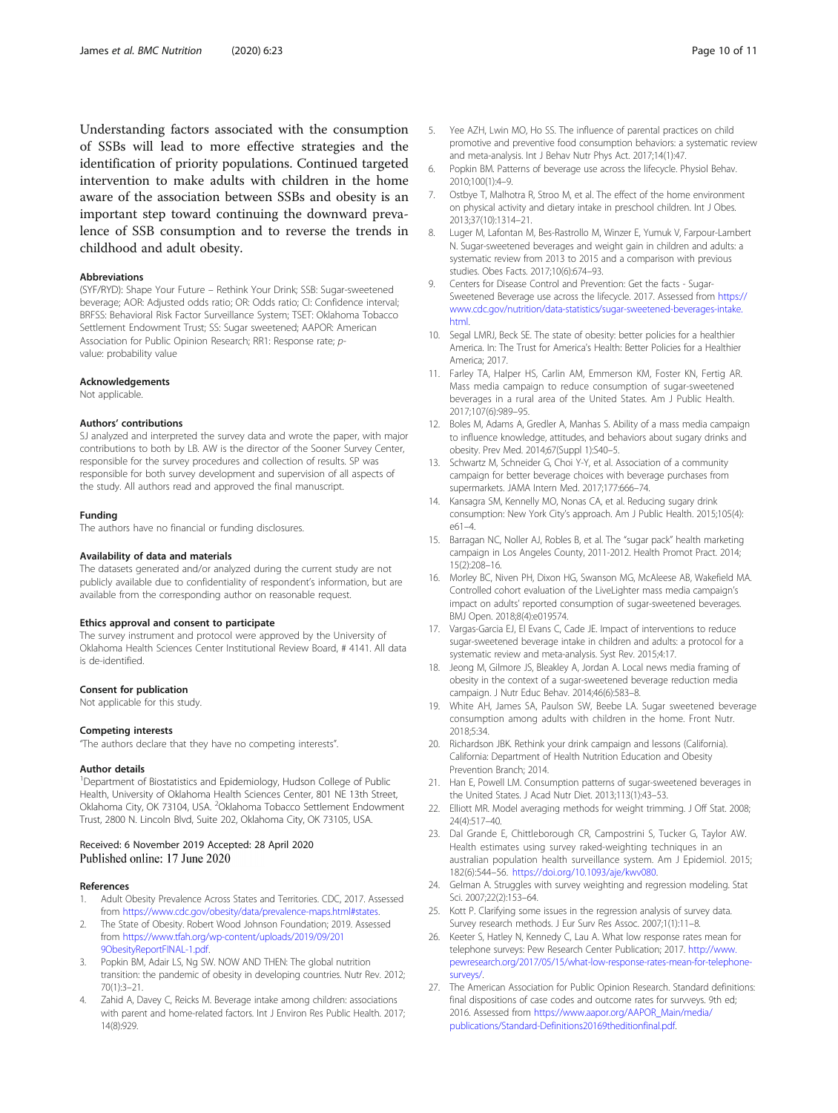<span id="page-9-0"></span>Understanding factors associated with the consumption of SSBs will lead to more effective strategies and the identification of priority populations. Continued targeted intervention to make adults with children in the home aware of the association between SSBs and obesity is an important step toward continuing the downward prevalence of SSB consumption and to reverse the trends in childhood and adult obesity.

#### Abbreviations

(SYF/RYD): Shape Your Future – Rethink Your Drink; SSB: Sugar-sweetened beverage; AOR: Adjusted odds ratio; OR: Odds ratio; CI: Confidence interval; BRFSS: Behavioral Risk Factor Surveillance System; TSET: Oklahoma Tobacco Settlement Endowment Trust; SS: Sugar sweetened; AAPOR: American Association for Public Opinion Research: RR1: Response rate: pvalue: probability value

#### Acknowledgements

Not applicable.

#### Authors' contributions

SJ analyzed and interpreted the survey data and wrote the paper, with major contributions to both by LB. AW is the director of the Sooner Survey Center, responsible for the survey procedures and collection of results. SP was responsible for both survey development and supervision of all aspects of the study. All authors read and approved the final manuscript.

#### Funding

The authors have no financial or funding disclosures.

#### Availability of data and materials

The datasets generated and/or analyzed during the current study are not publicly available due to confidentiality of respondent's information, but are available from the corresponding author on reasonable request.

#### Ethics approval and consent to participate

The survey instrument and protocol were approved by the University of Oklahoma Health Sciences Center Institutional Review Board, # 4141. All data is de-identified.

#### Consent for publication

Not applicable for this study.

#### Competing interests

"The authors declare that they have no competing interests".

#### Author details

<sup>1</sup>Department of Biostatistics and Epidemiology, Hudson College of Public Health, University of Oklahoma Health Sciences Center, 801 NE 13th Street, Oklahoma City, OK 73104, USA. <sup>2</sup>Oklahoma Tobacco Settlement Endowment Trust, 2800 N. Lincoln Blvd, Suite 202, Oklahoma City, OK 73105, USA.

#### Received: 6 November 2019 Accepted: 28 April 2020 Published online: 17 June 2020

#### References

- 1. Adult Obesity Prevalence Across States and Territories. CDC, 2017. Assessed from [https://www.cdc.gov/obesity/data/prevalence-maps.html#states.](https://www.cdc.gov/obesity/data/prevalence-maps.html#states)
- 2. The State of Obesity. Robert Wood Johnson Foundation; 2019. Assessed from [https://www.tfah.org/wp-content/uploads/2019/09/201](https://www.tfah.org/wp-content/uploads/2019/09/2019ObesityReportFINAL-1.pdf) [9ObesityReportFINAL-1.pdf](https://www.tfah.org/wp-content/uploads/2019/09/2019ObesityReportFINAL-1.pdf).
- 3. Popkin BM, Adair LS, Ng SW. NOW AND THEN: The global nutrition transition: the pandemic of obesity in developing countries. Nutr Rev. 2012; 70(1):3–21.
- Zahid A, Davey C, Reicks M. Beverage intake among children: associations with parent and home-related factors. Int J Environ Res Public Health. 2017; 14(8):929.
- 5. Yee AZH, Lwin MO, Ho SS. The influence of parental practices on child promotive and preventive food consumption behaviors: a systematic review and meta-analysis. Int J Behav Nutr Phys Act. 2017;14(1):47.
- 6. Popkin BM. Patterns of beverage use across the lifecycle. Physiol Behav. 2010;100(1):4–9.
- 7. Ostbye T, Malhotra R, Stroo M, et al. The effect of the home environment on physical activity and dietary intake in preschool children. Int J Obes. 2013;37(10):1314–21.
- 8. Luger M, Lafontan M, Bes-Rastrollo M, Winzer E, Yumuk V, Farpour-Lambert N. Sugar-sweetened beverages and weight gain in children and adults: a systematic review from 2013 to 2015 and a comparison with previous studies. Obes Facts. 2017;10(6):674–93.
- 9. Centers for Disease Control and Prevention: Get the facts Sugar-Sweetened Beverage use across the lifecycle. 2017. Assessed from [https://](https://www.cdc.gov/nutrition/data-statistics/sugar-sweetened-beverages-intake.html) [www.cdc.gov/nutrition/data-statistics/sugar-sweetened-beverages-intake.](https://www.cdc.gov/nutrition/data-statistics/sugar-sweetened-beverages-intake.html) [html.](https://www.cdc.gov/nutrition/data-statistics/sugar-sweetened-beverages-intake.html)
- 10. Segal LMRJ, Beck SE. The state of obesity: better policies for a healthier America. In: The Trust for America's Health: Better Policies for a Healthier America; 2017.
- 11. Farley TA, Halper HS, Carlin AM, Emmerson KM, Foster KN, Fertig AR. Mass media campaign to reduce consumption of sugar-sweetened beverages in a rural area of the United States. Am J Public Health. 2017;107(6):989–95.
- 12. Boles M, Adams A, Gredler A, Manhas S. Ability of a mass media campaign to influence knowledge, attitudes, and behaviors about sugary drinks and obesity. Prev Med. 2014;67(Suppl 1):S40–5.
- 13. Schwartz M, Schneider G, Choi Y-Y, et al. Association of a community campaign for better beverage choices with beverage purchases from supermarkets. JAMA Intern Med. 2017;177:666–74.
- 14. Kansagra SM, Kennelly MO, Nonas CA, et al. Reducing sugary drink consumption: New York City's approach. Am J Public Health. 2015;105(4): e61–4.
- 15. Barragan NC, Noller AJ, Robles B, et al. The "sugar pack" health marketing campaign in Los Angeles County, 2011-2012. Health Promot Pract. 2014; 15(2):208–16.
- 16. Morley BC, Niven PH, Dixon HG, Swanson MG, McAleese AB, Wakefield MA. Controlled cohort evaluation of the LiveLighter mass media campaign's impact on adults' reported consumption of sugar-sweetened beverages. BMJ Open. 2018;8(4):e019574.
- 17. Vargas-Garcia EJ, El Evans C, Cade JE. Impact of interventions to reduce sugar-sweetened beverage intake in children and adults: a protocol for a systematic review and meta-analysis. Syst Rev. 2015;4:17.
- 18. Jeong M, Gilmore JS, Bleakley A, Jordan A. Local news media framing of obesity in the context of a sugar-sweetened beverage reduction media campaign. J Nutr Educ Behav. 2014;46(6):583–8.
- 19. White AH, James SA, Paulson SW, Beebe LA. Sugar sweetened beverage consumption among adults with children in the home. Front Nutr. 2018;5:34.
- 20. Richardson JBK. Rethink your drink campaign and lessons (California). California: Department of Health Nutrition Education and Obesity Prevention Branch; 2014.
- 21. Han E, Powell LM. Consumption patterns of sugar-sweetened beverages in the United States. J Acad Nutr Diet. 2013;113(1):43–53.
- 22. Elliott MR. Model averaging methods for weight trimming. J Off Stat. 2008; 24(4):517–40.
- 23. Dal Grande E, Chittleborough CR, Campostrini S, Tucker G, Taylor AW. Health estimates using survey raked-weighting techniques in an australian population health surveillance system. Am J Epidemiol. 2015; 182(6):544–56. [https://doi.org/10.1093/aje/kwv080.](https://doi.org/10.1093/aje/kwv080)
- 24. Gelman A. Struggles with survey weighting and regression modeling. Stat Sci. 2007;22(2):153–64.
- 25. Kott P. Clarifying some issues in the regression analysis of survey data. Survey research methods. J Eur Surv Res Assoc. 2007;1(1):11–8.
- 26. Keeter S, Hatley N, Kennedy C, Lau A. What low response rates mean for telephone surveys: Pew Research Center Publication; 2017. [http://www.](http://www.pewresearch.org/2017/05/15/what-low-response-rates-mean-for-telephone-surveys/) [pewresearch.org/2017/05/15/what-low-response-rates-mean-for-telephone](http://www.pewresearch.org/2017/05/15/what-low-response-rates-mean-for-telephone-surveys/)[surveys/.](http://www.pewresearch.org/2017/05/15/what-low-response-rates-mean-for-telephone-surveys/)
- 27. The American Association for Public Opinion Research. Standard definitions: final dispositions of case codes and outcome rates for survveys. 9th ed; 2016. Assessed from [https://www.aapor.org/AAPOR\\_Main/media/](https://www.aapor.org/AAPOR_Main/media/publications/Standard-Definitions20169theditionfinal.pdf) [publications/Standard-Definitions20169theditionfinal.pdf](https://www.aapor.org/AAPOR_Main/media/publications/Standard-Definitions20169theditionfinal.pdf).